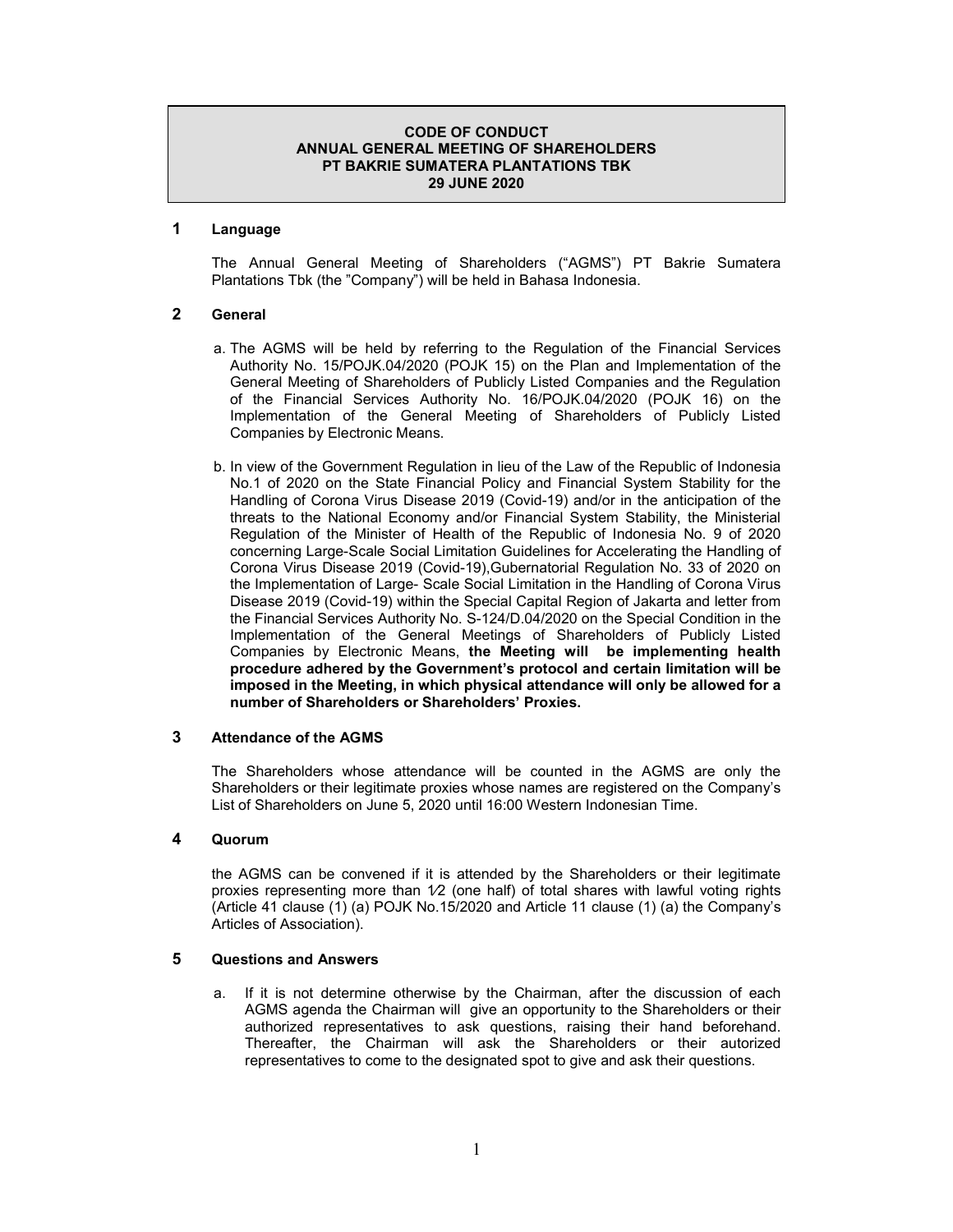## **CODE OF CONDUCT ANNUAL GENERAL MEETING OF SHAREHOLDERS PT BAKRIE SUMATERA PLANTATIONS TBK 29 JUNE 2020**

## **1 Language**

The Annual General Meeting of Shareholders ("AGMS") PT Bakrie Sumatera Plantations Tbk (the "Company") will be held in Bahasa Indonesia.

## **2 General**

- a. The AGMS will be held by referring to the Regulation of the Financial Services Authority No. 15/POJK.04/2020 (POJK 15) on the Plan and Implementation of the General Meeting of Shareholders of Publicly Listed Companies and the Regulation of the Financial Services Authority No. 16/POJK.04/2020 (POJK 16) on the Implementation of the General Meeting of Shareholders of Publicly Listed Companies by Electronic Means.
- b. In view of the Government Regulation in lieu of the Law of the Republic of Indonesia No.1 of 2020 on the State Financial Policy and Financial System Stability for the Handling of Corona Virus Disease 2019 (Covid-19) and/or in the anticipation of the threats to the National Economy and/or Financial System Stability, the Ministerial Regulation of the Minister of Health of the Republic of Indonesia No. 9 of 2020 concerning Large-Scale Social Limitation Guidelines for Accelerating the Handling of Corona Virus Disease 2019 (Covid-19),Gubernatorial Regulation No. 33 of 2020 on the Implementation of Large- Scale Social Limitation in the Handling of Corona Virus Disease 2019 (Covid-19) within the Special Capital Region of Jakarta and letter from the Financial Services Authority No. S-124/D.04/2020 on the Special Condition in the Implementation of the General Meetings of Shareholders of Publicly Listed Companies by Electronic Means, **the Meeting will be implementing health procedure adhered by the Government's protocol and certain limitation will be imposed in the Meeting, in which physical attendance will only be allowed for a number of Shareholders or Shareholders' Proxies.**

#### **3 Attendance of the AGMS**

The Shareholders whose attendance will be counted in the AGMS are only the Shareholders or their legitimate proxies whose names are registered on the Company's List of Shareholders on June 5, 2020 until 16:00 Western Indonesian Time.

#### **4 Quorum**

the AGMS can be convened if it is attended by the Shareholders or their legitimate proxies representing more than  $1/2$  (one half) of total shares with lawful voting rights (Article 41 clause (1) (a) POJK No.15/2020 and Article 11 clause (1) (a) the Company's Articles of Association).

# **5 Questions and Answers**

a. If it is not determine otherwise by the Chairman, after the discussion of each AGMS agenda the Chairman will give an opportunity to the Shareholders or their authorized representatives to ask questions, raising their hand beforehand. Thereafter, the Chairman will ask the Shareholders or their autorized representatives to come to the designated spot to give and ask their questions.